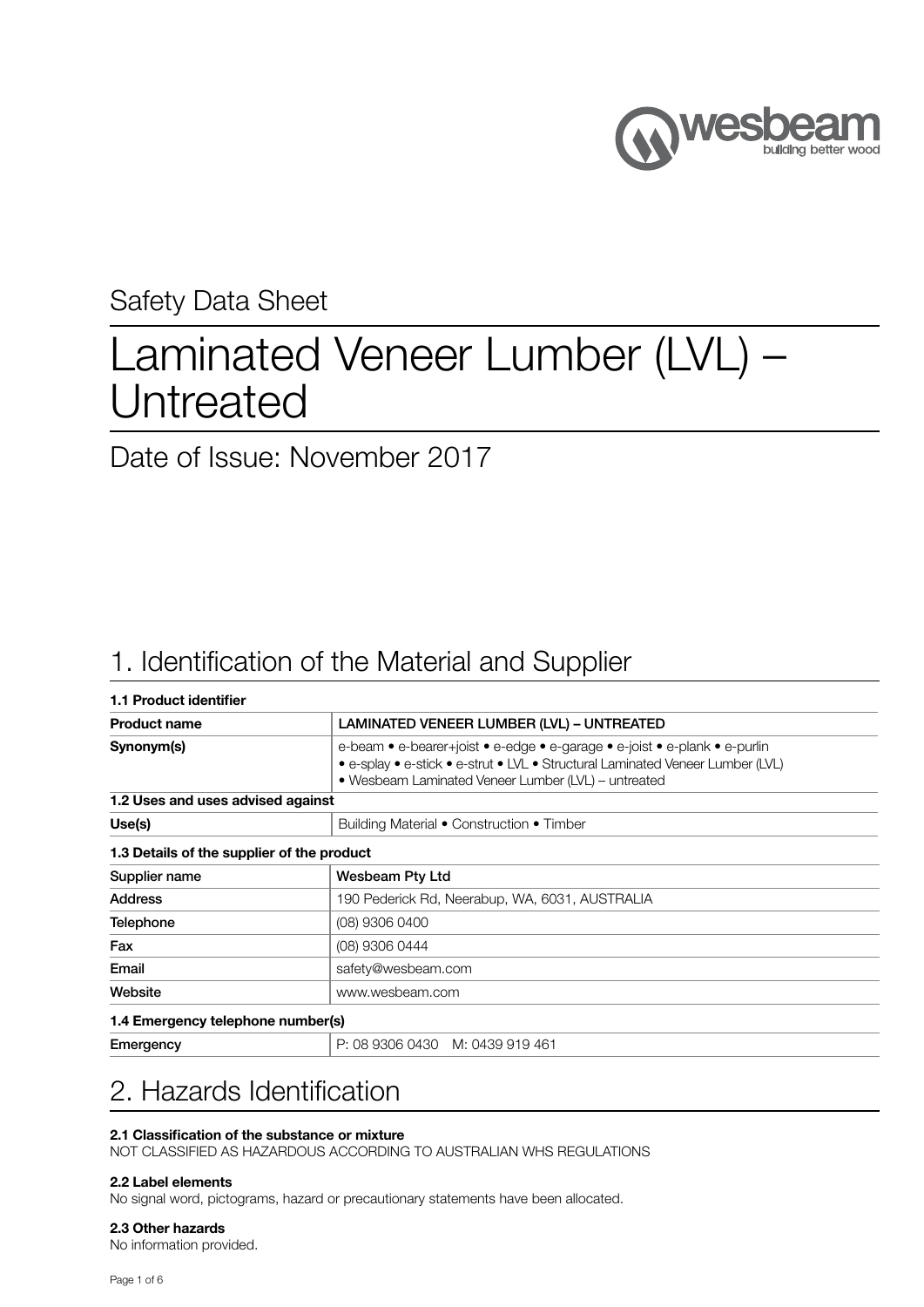

### Safety Data Sheet

# Laminated Veneer Lumber (LVL) – Untreated

Date of Issue: November 2017

## 1. Identification of the Material and Supplier

| 1.1 Product identifier                     |                                                                                                                                                                                                                     |
|--------------------------------------------|---------------------------------------------------------------------------------------------------------------------------------------------------------------------------------------------------------------------|
| <b>Product name</b>                        | LAMINATED VENEER LUMBER (LVL) - UNTREATED                                                                                                                                                                           |
| Synonym(s)                                 | e-beam • e-bearer+joist • e-edge • e-garage • e-joist • e-plank • e-purlin<br>• e-splay • e-stick • e-strut • LVL • Structural Laminated Veneer Lumber (LVL)<br>• Wesbeam Laminated Veneer Lumber (LVL) - untreated |
| 1.2 Uses and uses advised against          |                                                                                                                                                                                                                     |
| Use(s)                                     | Building Material • Construction • Timber                                                                                                                                                                           |
| 1.3 Details of the supplier of the product |                                                                                                                                                                                                                     |
| Supplier name                              | <b>Wesbeam Pty Ltd</b>                                                                                                                                                                                              |
| <b>Address</b>                             | 190 Pederick Rd, Neerabup, WA, 6031, AUSTRALIA                                                                                                                                                                      |
| <b>Telephone</b>                           | (08) 9306 0400                                                                                                                                                                                                      |
| Fax                                        | (08) 9306 0444                                                                                                                                                                                                      |
| Email                                      | safety@wesbeam.com                                                                                                                                                                                                  |
| Website                                    | www.wesbeam.com                                                                                                                                                                                                     |
| 1.4 Emergency telephone number(s)          |                                                                                                                                                                                                                     |
| Emergency                                  | P: 08 9306 0430 M: 0439 919 461                                                                                                                                                                                     |

# 2. Hazards Identification

### 2.1 Classification of the substance or mixture

NOT CLASSIFIED AS HAZARDOUS ACCORDING TO AUSTRALIAN WHS REGULATIONS

### 2.2 Label elements

No signal word, pictograms, hazard or precautionary statements have been allocated.

### 2.3 Other hazards

No information provided.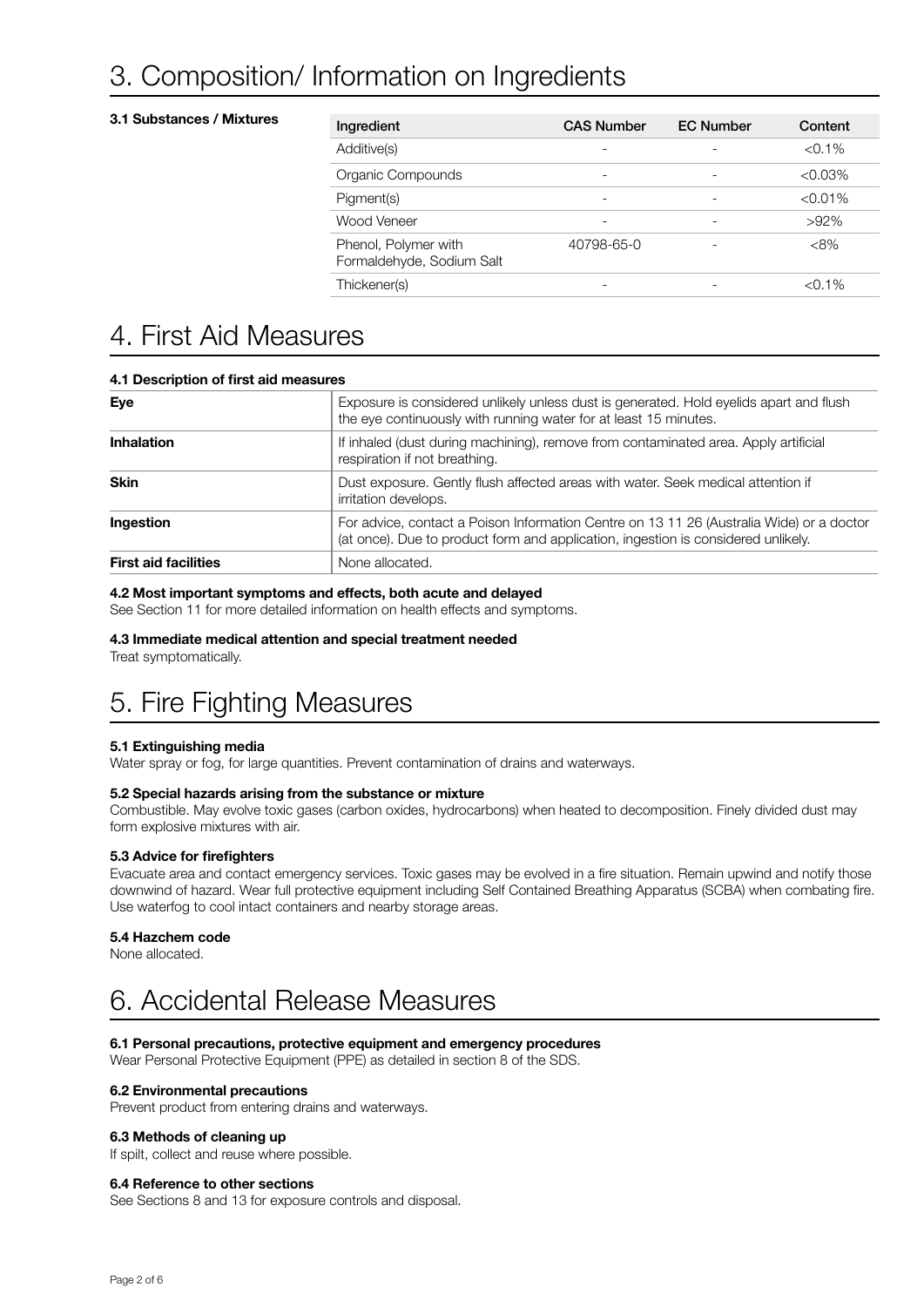# 3. Composition/ Information on Ingredients

### 3.1 Substances / Mixtures

| Ingredient                                        | <b>CAS Number</b> | <b>EC Number</b> | Content    |
|---------------------------------------------------|-------------------|------------------|------------|
| Additive(s)                                       |                   |                  | $< 0.1\%$  |
| Organic Compounds                                 |                   |                  | $<0.03\%$  |
| Pigment(s)                                        |                   |                  | $< 0.01\%$ |
| Wood Veneer                                       |                   |                  | $>92\%$    |
| Phenol, Polymer with<br>Formaldehyde, Sodium Salt | 40798-65-0        |                  | $<8\%$     |
| Thickener(s)                                      |                   |                  | $< 0.1\%$  |

### 4. First Aid Measures

| 4.1 Description of first aid measures |                                                                                                                                                                               |  |  |  |
|---------------------------------------|-------------------------------------------------------------------------------------------------------------------------------------------------------------------------------|--|--|--|
| Eye                                   | Exposure is considered unlikely unless dust is generated. Hold eyelids apart and flush<br>the eye continuously with running water for at least 15 minutes.                    |  |  |  |
| <b>Inhalation</b>                     | If inhaled (dust during machining), remove from contaminated area. Apply artificial<br>respiration if not breathing.                                                          |  |  |  |
| <b>Skin</b>                           | Dust exposure. Gently flush affected areas with water. Seek medical attention if<br>irritation develops.                                                                      |  |  |  |
| Ingestion                             | For advice, contact a Poison Information Centre on 13 11 26 (Australia Wide) or a doctor<br>(at once). Due to product form and application, ingestion is considered unlikely. |  |  |  |
| <b>First aid facilities</b>           | None allocated.                                                                                                                                                               |  |  |  |

### 4.2 Most important symptoms and effects, both acute and delayed

See Section 11 for more detailed information on health effects and symptoms.

### 4.3 Immediate medical attention and special treatment needed

Treat symptomatically.

## 5. Fire Fighting Measures

### 5.1 Extinguishing media

Water spray or fog, for large quantities. Prevent contamination of drains and waterways.

### 5.2 Special hazards arising from the substance or mixture

Combustible. May evolve toxic gases (carbon oxides, hydrocarbons) when heated to decomposition. Finely divided dust may form explosive mixtures with air.

### 5.3 Advice for firefighters

Evacuate area and contact emergency services. Toxic gases may be evolved in a fire situation. Remain upwind and notify those downwind of hazard. Wear full protective equipment including Self Contained Breathing Apparatus (SCBA) when combating fire. Use waterfog to cool intact containers and nearby storage areas.

### 5.4 Hazchem code

None allocated.

### 6. Accidental Release Measures

### 6.1 Personal precautions, protective equipment and emergency procedures

Wear Personal Protective Equipment (PPE) as detailed in section 8 of the SDS.

### 6.2 Environmental precautions

Prevent product from entering drains and waterways.

### 6.3 Methods of cleaning up

If spilt, collect and reuse where possible.

### 6.4 Reference to other sections

See Sections 8 and 13 for exposure controls and disposal.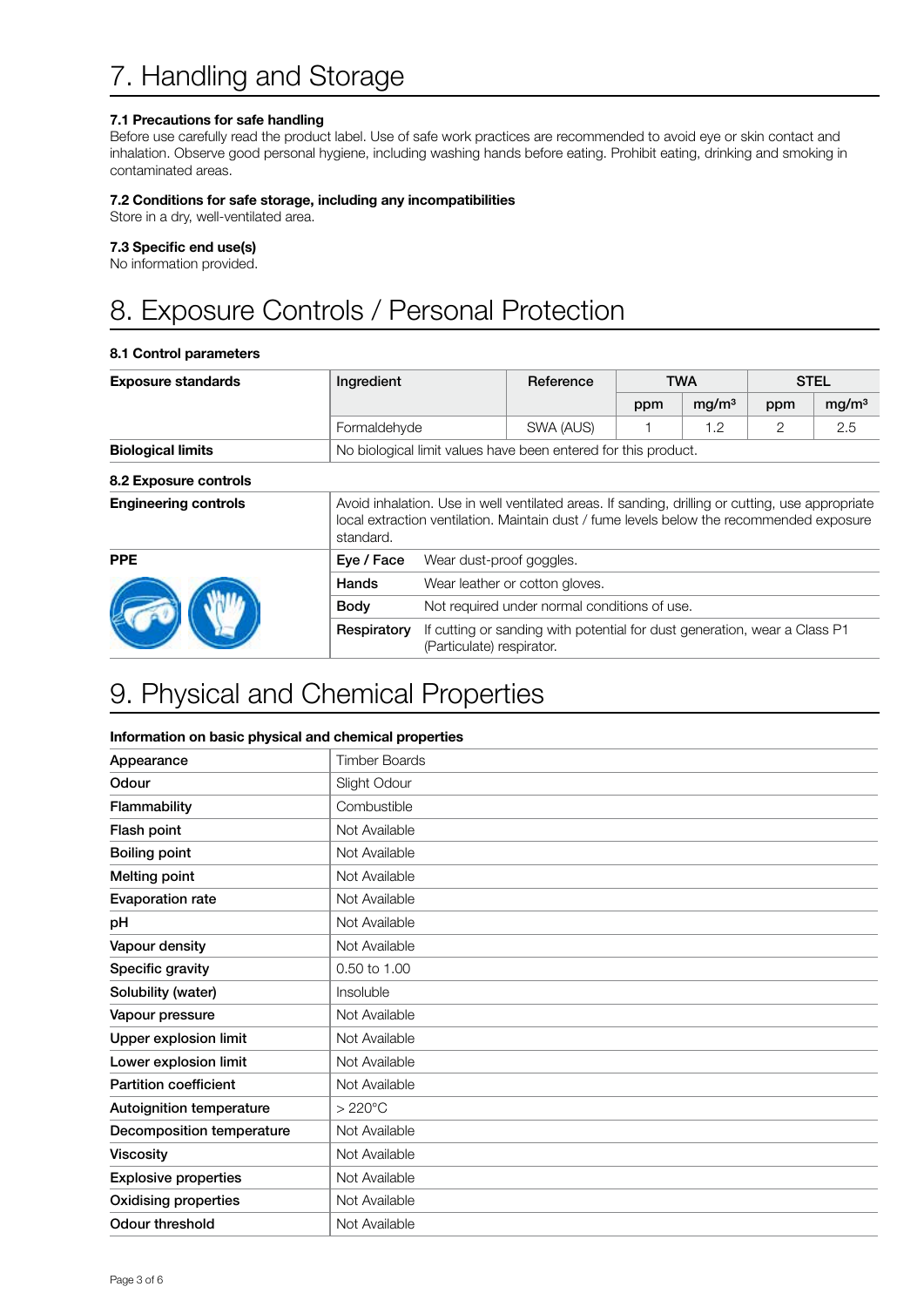### 7.1 Precautions for safe handling

Before use carefully read the product label. Use of safe work practices are recommended to avoid eye or skin contact and inhalation. Observe good personal hygiene, including washing hands before eating. Prohibit eating, drinking and smoking in contaminated areas.

### 7.2 Conditions for safe storage, including any incompatibilities

Store in a dry, well-ventilated area.

### 7.3 Specific end use(s)

No information provided.

# 8. Exposure Controls / Personal Protection

### 8.1 Control parameters

| <b>Exposure standards</b>   | Ingredient                                                                                                                                                                                                |                                                                                                        | Reference                                                      |     | <b>TWA</b>        |     | <b>STEL</b>       |  |
|-----------------------------|-----------------------------------------------------------------------------------------------------------------------------------------------------------------------------------------------------------|--------------------------------------------------------------------------------------------------------|----------------------------------------------------------------|-----|-------------------|-----|-------------------|--|
|                             |                                                                                                                                                                                                           |                                                                                                        |                                                                | ppm | mg/m <sup>3</sup> | ppm | mg/m <sup>3</sup> |  |
|                             | Formaldehyde                                                                                                                                                                                              |                                                                                                        | SWA (AUS)                                                      |     | 1.2               | 2   | 2.5               |  |
| <b>Biological limits</b>    |                                                                                                                                                                                                           |                                                                                                        | No biological limit values have been entered for this product. |     |                   |     |                   |  |
| 8.2 Exposure controls       |                                                                                                                                                                                                           |                                                                                                        |                                                                |     |                   |     |                   |  |
| <b>Engineering controls</b> | Avoid inhalation. Use in well ventilated areas. If sanding, drilling or cutting, use appropriate<br>local extraction ventilation. Maintain dust / fume levels below the recommended exposure<br>standard. |                                                                                                        |                                                                |     |                   |     |                   |  |
| <b>PPE</b>                  | Eye / Face<br>Wear dust-proof goggles.                                                                                                                                                                    |                                                                                                        |                                                                |     |                   |     |                   |  |
|                             | Hands                                                                                                                                                                                                     | Wear leather or cotton gloves.                                                                         |                                                                |     |                   |     |                   |  |
|                             | Body                                                                                                                                                                                                      | Not required under normal conditions of use.                                                           |                                                                |     |                   |     |                   |  |
|                             | Respiratory                                                                                                                                                                                               | If cutting or sanding with potential for dust generation, wear a Class P1<br>(Particulate) respirator. |                                                                |     |                   |     |                   |  |

### 9. Physical and Chemical Properties

### Information on basic physical and chemical properties

| Appearance                   | <b>Timber Boards</b> |
|------------------------------|----------------------|
| Odour                        | Slight Odour         |
| Flammability                 | Combustible          |
| Flash point                  | Not Available        |
| <b>Boiling point</b>         | Not Available        |
| Melting point                | Not Available        |
| <b>Evaporation rate</b>      | Not Available        |
| pH                           | Not Available        |
| Vapour density               | Not Available        |
| Specific gravity             | 0.50 to 1.00         |
| Solubility (water)           | Insoluble            |
| Vapour pressure              | Not Available        |
| Upper explosion limit        | Not Available        |
| Lower explosion limit        | Not Available        |
| <b>Partition coefficient</b> | Not Available        |
| Autoignition temperature     | $>220^{\circ}$ C     |
| Decomposition temperature    | Not Available        |
| <b>Viscosity</b>             | Not Available        |
| <b>Explosive properties</b>  | Not Available        |
| <b>Oxidising properties</b>  | Not Available        |
| Odour threshold              | Not Available        |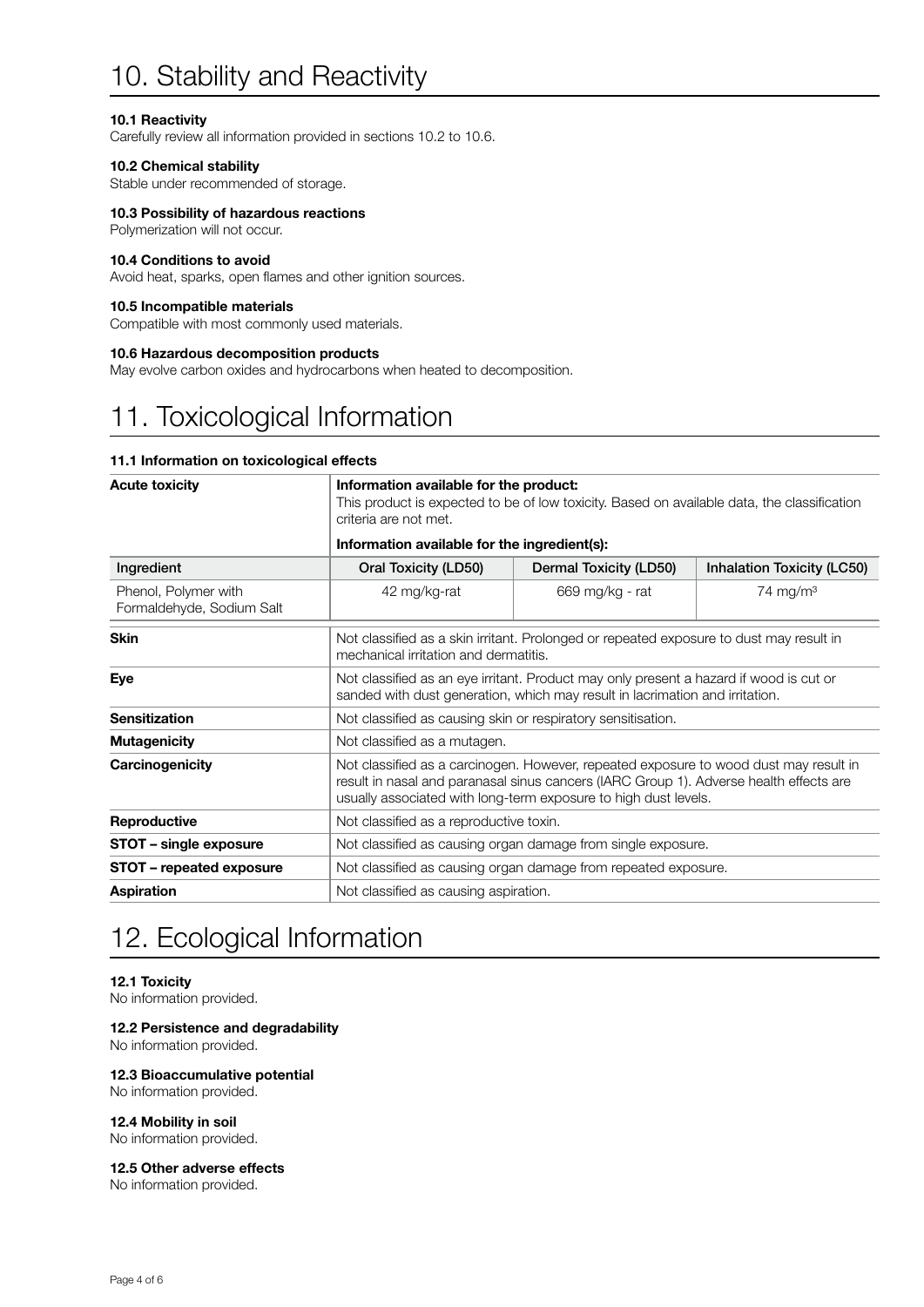# 10. Stability and Reactivity

### 10.1 Reactivity

Carefully review all information provided in sections 10.2 to 10.6.

### 10.2 Chemical stability

Stable under recommended of storage.

### 10.3 Possibility of hazardous reactions

Polymerization will not occur.

### 10.4 Conditions to avoid

Avoid heat, sparks, open flames and other ignition sources.

#### 10.5 Incompatible materials

Compatible with most commonly used materials.

### 10.6 Hazardous decomposition products

May evolve carbon oxides and hydrocarbons when heated to decomposition.

### 11. Toxicological Information

### 11.1 Information on toxicological effects

| <b>Acute toxicity</b>                             | Information available for the product:<br>criteria are not met.                                                                                                                                                                                    | This product is expected to be of low toxicity. Based on available data, the classification |                      |  |  |
|---------------------------------------------------|----------------------------------------------------------------------------------------------------------------------------------------------------------------------------------------------------------------------------------------------------|---------------------------------------------------------------------------------------------|----------------------|--|--|
|                                                   | Information available for the ingredient(s):                                                                                                                                                                                                       |                                                                                             |                      |  |  |
| Ingredient                                        | Oral Toxicity (LD50)<br>Dermal Toxicity (LD50)<br>Inhalation Toxicity (LC50)                                                                                                                                                                       |                                                                                             |                      |  |  |
| Phenol, Polymer with<br>Formaldehyde, Sodium Salt | 42 mg/kg-rat                                                                                                                                                                                                                                       | 669 mg/kg - rat                                                                             | 74 mg/m <sup>3</sup> |  |  |
| <b>Skin</b>                                       | Not classified as a skin irritant. Prolonged or repeated exposure to dust may result in<br>mechanical irritation and dermatitis.                                                                                                                   |                                                                                             |                      |  |  |
| Eye                                               | Not classified as an eye irritant. Product may only present a hazard if wood is cut or<br>sanded with dust generation, which may result in lacrimation and irritation.                                                                             |                                                                                             |                      |  |  |
| <b>Sensitization</b>                              | Not classified as causing skin or respiratory sensitisation.                                                                                                                                                                                       |                                                                                             |                      |  |  |
| <b>Mutagenicity</b>                               | Not classified as a mutagen.                                                                                                                                                                                                                       |                                                                                             |                      |  |  |
| Carcinogenicity                                   | Not classified as a carcinogen. However, repeated exposure to wood dust may result in<br>result in nasal and paranasal sinus cancers (IARC Group 1). Adverse health effects are<br>usually associated with long-term exposure to high dust levels. |                                                                                             |                      |  |  |
| Reproductive                                      | Not classified as a reproductive toxin.                                                                                                                                                                                                            |                                                                                             |                      |  |  |
| STOT - single exposure                            | Not classified as causing organ damage from single exposure.                                                                                                                                                                                       |                                                                                             |                      |  |  |
| STOT - repeated exposure                          | Not classified as causing organ damage from repeated exposure.                                                                                                                                                                                     |                                                                                             |                      |  |  |
| <b>Aspiration</b>                                 | Not classified as causing aspiration.                                                                                                                                                                                                              |                                                                                             |                      |  |  |

### 12. Ecological Information

### 12.1 Toxicity

No information provided.

### 12.2 Persistence and degradability

No information provided.

### 12.3 Bioaccumulative potential

No information provided.

### 12.4 Mobility in soil

No information provided.

### 12.5 Other adverse effects

No information provided.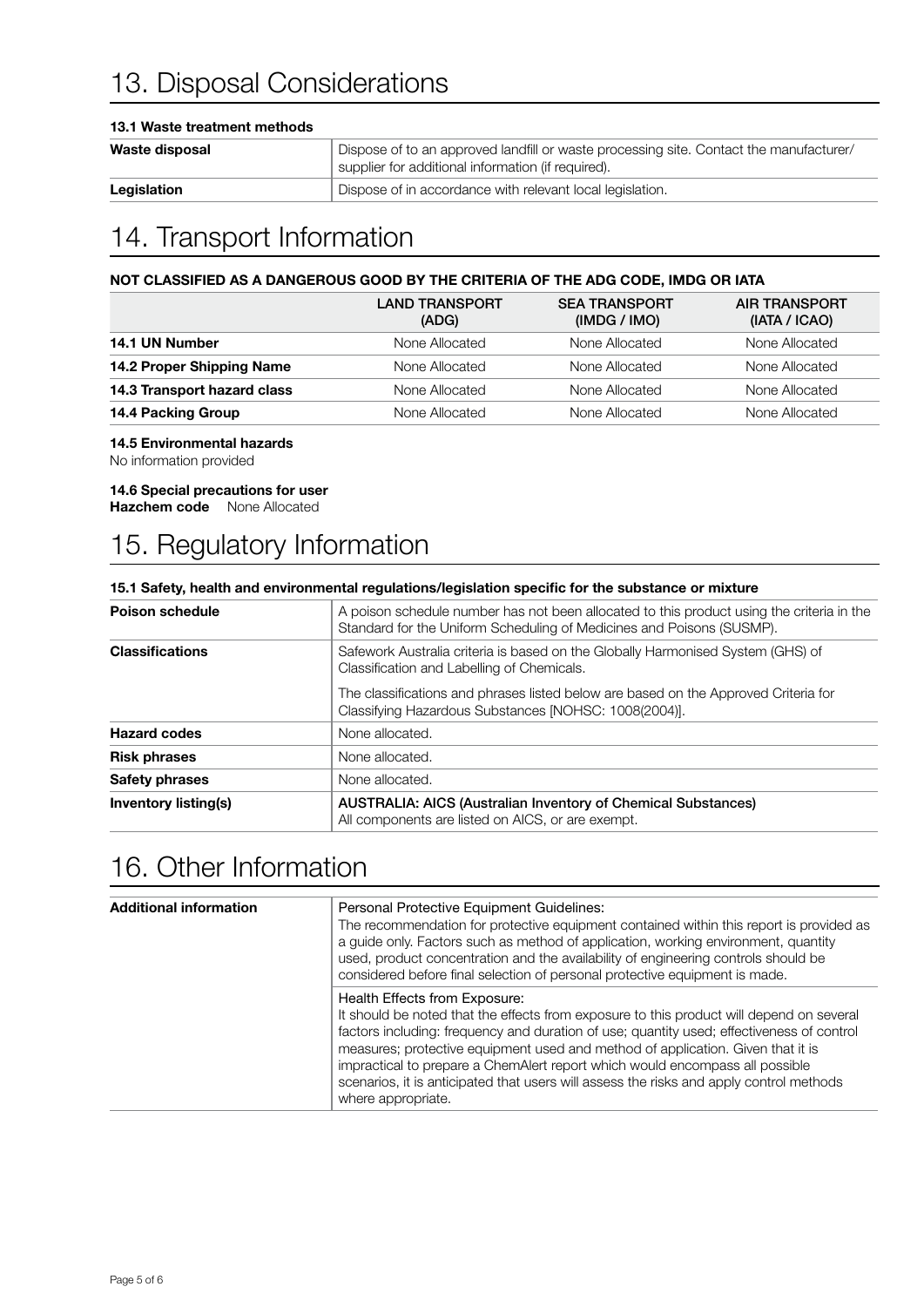# 13. Disposal Considerations

### 13.1 Waste treatment methods

| Waste disposal | Dispose of to an approved landfill or waste processing site. Contact the manufacturer/<br>supplier for additional information (if required). |
|----------------|----------------------------------------------------------------------------------------------------------------------------------------------|
| Legislation    | Dispose of in accordance with relevant local legislation.                                                                                    |

# 14. Transport Information

### NOT CLASSIFIED AS A DANGEROUS GOOD BY THE CRITERIA OF THE ADG CODE, IMDG OR IATA

|                             | <b>LAND TRANSPORT</b><br>(ADG) | <b>SEA TRANSPORT</b><br>(IMDG / IMO) | <b>AIR TRANSPORT</b><br>(IATA / ICAO) |
|-----------------------------|--------------------------------|--------------------------------------|---------------------------------------|
| 14.1 UN Number              | None Allocated                 | None Allocated                       | None Allocated                        |
| 14.2 Proper Shipping Name   | None Allocated                 | None Allocated                       | None Allocated                        |
| 14.3 Transport hazard class | None Allocated                 | None Allocated                       | None Allocated                        |
| 14.4 Packing Group          | None Allocated                 | None Allocated                       | None Allocated                        |
|                             |                                |                                      |                                       |

### 14.5 Environmental hazards

No information provided

### 14.6 Special precautions for user

Hazchem code None Allocated

## 15. Regulatory Information

### 15.1 Safety, health and environmental regulations/legislation specific for the substance or mixture

| <b>Poison schedule</b> | A poison schedule number has not been allocated to this product using the criteria in the<br>Standard for the Uniform Scheduling of Medicines and Poisons (SUSMP). |
|------------------------|--------------------------------------------------------------------------------------------------------------------------------------------------------------------|
| <b>Classifications</b> | Safework Australia criteria is based on the Globally Harmonised System (GHS) of<br>Classification and Labelling of Chemicals.                                      |
|                        | The classifications and phrases listed below are based on the Approved Criteria for<br>Classifying Hazardous Substances [NOHSC: 1008(2004)].                       |
| <b>Hazard codes</b>    | None allocated.                                                                                                                                                    |
| <b>Risk phrases</b>    | None allocated.                                                                                                                                                    |
| <b>Safety phrases</b>  | None allocated.                                                                                                                                                    |
| Inventory listing(s)   | <b>AUSTRALIA: AICS (Australian Inventory of Chemical Substances)</b><br>All components are listed on AICS, or are exempt.                                          |

### 16. Other Information

| <b>Additional information</b> | Personal Protective Equipment Guidelines:<br>The recommendation for protective equipment contained within this report is provided as<br>a guide only. Factors such as method of application, working environment, quantity<br>used, product concentration and the availability of engineering controls should be<br>considered before final selection of personal protective equipment is made.                                                                                                            |
|-------------------------------|------------------------------------------------------------------------------------------------------------------------------------------------------------------------------------------------------------------------------------------------------------------------------------------------------------------------------------------------------------------------------------------------------------------------------------------------------------------------------------------------------------|
|                               | Health Effects from Exposure:<br>It should be noted that the effects from exposure to this product will depend on several<br>factors including: frequency and duration of use; quantity used; effectiveness of control<br>measures; protective equipment used and method of application. Given that it is<br>impractical to prepare a ChemAlert report which would encompass all possible<br>scenarios, it is anticipated that users will assess the risks and apply control methods<br>where appropriate. |